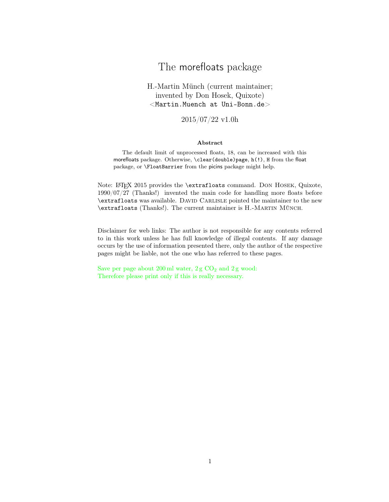# The morefloats package

H.-Martin Münch (current maintainer; invented by Don Hosek, Quixote)  $<$ Martin.Muench at Uni-Bonn.de $>$ 

2015/07/22 v1.0h

#### Abstract

The default limit of unprocessed floats, 18, can be increased with this morefloats package. Otherwise, \clear(double)page, h(!), H from the float package, or \FloatBarrier from the picins package might help.

Note: LATEX 2015 provides the \extrafloats command. DON HOSEK, Quixote, 1990/07/27 (Thanks!) invented the main code for handling more floats before \extrafloats was available. David Carlisle pointed the maintainer to the new \extrafloats (Thanks!). The current maintainer is H.-Martin Münch.

Disclaimer for web links: The author is not responsible for any contents referred to in this work unless he has full knowledge of illegal contents. If any damage occurs by the use of information presented there, only the author of the respective pages might be liable, not the one who has referred to these pages.

Save per page about  $200 \,\mathrm{ml}$  water,  $2 \,\mathrm{g}$  CO<sub>2</sub> and  $2 \,\mathrm{g}$  wood: Therefore please print only if this is really necessary.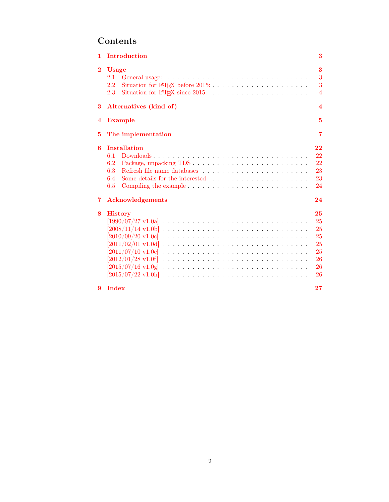# Contents

| 1                   | Introduction                                                                                                                                                                                                                                                   | 3                                                  |  |  |
|---------------------|----------------------------------------------------------------------------------------------------------------------------------------------------------------------------------------------------------------------------------------------------------------|----------------------------------------------------|--|--|
| $\bf{2}$            | <b>Usage</b><br>2.1<br>2.2<br>2.3                                                                                                                                                                                                                              | 3<br>3<br>3<br>$\overline{4}$                      |  |  |
| 3                   | Alternatives (kind of)<br>$\overline{\mathbf{4}}$                                                                                                                                                                                                              |                                                    |  |  |
| 4                   | 5<br><b>Example</b>                                                                                                                                                                                                                                            |                                                    |  |  |
| 5                   | The implementation<br>7                                                                                                                                                                                                                                        |                                                    |  |  |
| 6<br>$\overline{7}$ | <b>Installation</b><br>22<br>Downloads<br>22<br>6.1<br>22<br>6.2<br>6.3<br>23<br>23<br>6.4<br>6.5<br>Compiling the example $\ldots \ldots \ldots \ldots \ldots \ldots \ldots \ldots \ldots$<br>24<br><b>Acknowledgements</b><br>24                             |                                                    |  |  |
|                     |                                                                                                                                                                                                                                                                |                                                    |  |  |
| 8                   | <b>History</b><br>$[1990/07/27 \text{ v}1.0a]$<br>$[2008/11/14 \text{ v}1.06]$<br>$[2010/09/20 \text{ v}1.0 \text{c}]$<br>$[2011/07/10 \text{ v}1.0e]$<br>$[2012/01/28 \text{ v}1.0f]$<br>$[2015/07/16 \text{ v}1.0 \text{g}]$<br>$[2015/07/22 \text{ v}1.0h]$ | 25<br>25<br>25<br>25<br>25<br>25<br>26<br>26<br>26 |  |  |
| 9                   | Index                                                                                                                                                                                                                                                          | 27                                                 |  |  |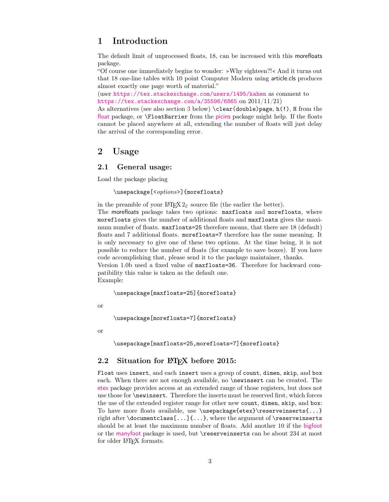# <span id="page-2-0"></span>1 Introduction

The default limit of unprocessed floats, 18, can be increased with this morefloats package.

"Of course one immediately begins to wonder: »Why eighteen?!« And it turns out that 18 one-line tables with 10 point Computer Modern using article.cls produces almost exactly one page worth of material."

(user <https://tex.stackexchange.com/users/1495/kahen> as comment to <https://tex.stackexchange.com/a/35596/6865> on 2011/11/21)

As alternatives (see also section [3](#page-3-1) below)  $\lambda$  clear(double)page, h(!), H from the [float](https://www.ctan.org/pkg/float) package, or **\FloatBarrier** from the [picins](https://www.ctan.org/pkg/picins) package might help. If the floats cannot be placed anywhere at all, extending the number of floats will just delay the arrival of the corresponding error.

# <span id="page-2-1"></span>2 Usage

### <span id="page-2-2"></span>2.1 General usage:

Load the package placing

\usepackage[<options>]{morefloats}

in the preamble of your LAT<sub>E</sub>X  $2_{\varepsilon}$  source file (the earlier the better). The morefloats package takes two options: maxfloats and morefloats, where morefloats gives the number of additional floats and maxfloats gives the maximum number of floats. maxfloats=25 therefore means, that there are 18 (default) floats and 7 additional floats. morefloats=7 therefore has the same meaning. It is only necessary to give one of these two options. At the time being, it is not possible to reduce the number of floats (for example to save boxes). If you have code accomplishing that, please send it to the package maintainer, thanks.

Version 1.0b used a fixed value of maxfloats=36. Therefore for backward compatibility this value is taken as the default one.

Example:

\usepackage[maxfloats=25]{morefloats}

or

\usepackage[morefloats=7]{morefloats}

or

\usepackage[maxfloats=25,morefloats=7]{morefloats}

### <span id="page-2-3"></span>2.2 Situation for LAT<sub>E</sub>X before 2015:

Float uses insert, and each insert uses a group of count, dimen, skip, and box each. When there are not enough available, no **\newinsert** can be created. The [etex](https://www.ctan.org/pkg/etex-pkg) package provides access at an extended range of those registers, but does not use those for \newinsert. Therefore the inserts must be reserved first, which forces the use of the extended register range for other new count, dimen, skip, and box: To have more floats available, use \usepackage{etex}\reserveinserts{...} right after \documentclass[...]{...}, where the argument of \reserveinserts should be at least the maximum number of floats. Add another 10 if the [bigfoot](https://www.ctan.org/pkg/bigfoot) or the [manyfoot](https://www.ctan.org/pkg/manyfoot) package is used, but \reserveinserts can be about 234 at most for older L<sup>AT</sup>FX formats.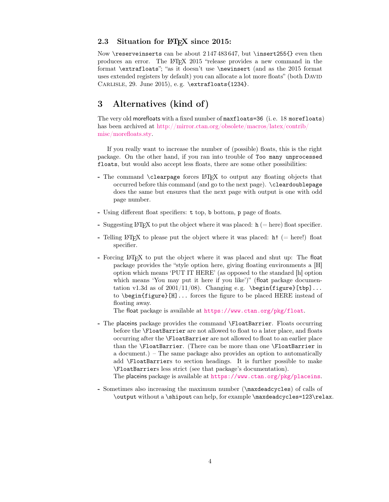#### <span id="page-3-0"></span>2.3 Situation for  $\mu$ <sub>F/X</sub> since 2015:

Now \reserveinserts can be about 2 147 483 647, but \insert255{} even then produces an error. The LATEX 2015 "release provides a new command in the format \extrafloats"; "as it doesn't use \newinsert (and as the 2015 format uses extended registers by default) you can allocate a lot more floats" (both DAVID Carlisle, 29. June 2015), e. g. \extrafloats{1234}.

# <span id="page-3-1"></span>3 Alternatives (kind of)

The very old morefloats with a fixed number of maxfloats=36 (i. e. 18 morefloats) has been archived at [http://mirror.ctan.org/obsolete/macros/latex/contrib/](http://mirror.ctan.org/obsolete/macros/latex/contrib/misc/morefloats.sty) [misc/morefloats.sty.](http://mirror.ctan.org/obsolete/macros/latex/contrib/misc/morefloats.sty)

If you really want to increase the number of (possible) floats, this is the right package. On the other hand, if you ran into trouble of Too many unprocessed floats, but would also accept less floats, there are some other possibilities:

- The command \clearpage forces LATEX to output any floating objects that occurred before this command (and go to the next page). \cleardoublepage does the same but ensures that the next page with output is one with odd page number.
- Using different float specifiers: t top, b bottom, p page of floats.
- Suggesting LAT<sub>EX</sub> to put the object where it was placed:  $h$  (= here) float specifier.
- Telling LATEX to please put the object where it was placed: h! (= here!) float specifier.
- Forcing LATEX to put the object where it was placed and shut up: The float package provides the "style option here, giving floating environments a [H] option which means 'PUT IT HERE' (as opposed to the standard [h] option which means 'You may put it here if you like')" (float package documentation v1.3d as of  $2001/11/08$ . Changing e.g. \begin{figure}[tbp]... to \begin{figure}[H]... forces the figure to be placed HERE instead of floating away.

The float package is available at <https://www.ctan.org/pkg/float>.

- The placeins package provides the command \FloatBarrier. Floats occurring before the \FloatBarrier are not allowed to float to a later place, and floats occurring after the \FloatBarrier are not allowed to float to an earlier place than the \FloatBarrier. (There can be more than one \FloatBarrier in a document.) – The same package also provides an option to automatically add \FloatBarriers to section headings. It is further possible to make \FloatBarriers less strict (see that package's documentation).

The placeins package is available at <https://www.ctan.org/pkg/placeins>.

- Sometimes also increasing the maximum number (\maxdeadcycles) of calls of \output without a \shipout can help, for example \maxdeadcycles=123\relax.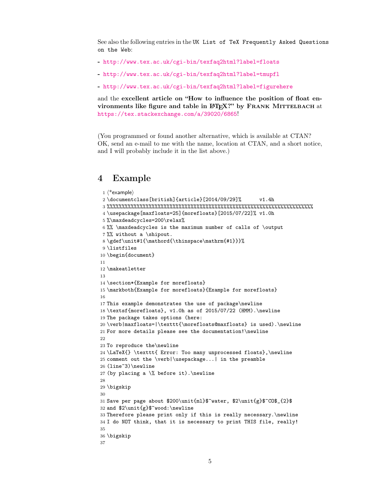See also the following entries in the UK List of TeX Frequently Asked Questions on the Web:

- <http://www.tex.ac.uk/cgi-bin/texfaq2html?label=floats>
- <http://www.tex.ac.uk/cgi-bin/texfaq2html?label=tmupfl>
- <http://www.tex.ac.uk/cgi-bin/texfaq2html?label=figurehere>

and the excellent article on "How to influence the position of float environments like figure and table in LATEX?" by FRANK MITTELBACH at <https://tex.stackexchange.com/a/39020/6865>!

(You programmed or found another alternative, which is available at CTAN? OK, send an e-mail to me with the name, location at CTAN, and a short notice, and I will probably include it in the list above.)

# <span id="page-4-0"></span>4 Example

```
1 \langle*example\rangle2 \documentclass[british]{article}[2014/09/29]% v1.4h
3 %%%%%%%%%%%%%%%%%%%%%%%%%%%%%%%%%%%%%%%%%%%%%%%%%%%%%%%%%%%%%%%%%%%%%
4 \usepackage[maxfloats=25]{morefloats}[2015/07/22]% v1.0h
5 %\maxdeadcycles=200\relax%
6 %% \maxdeadcycles is the maximum number of calls of \output
7 %% without a \shipout.
8 \gdef\unit#1{\mathord{\thinspace\mathrm{#1}}}%
9 \listfiles
10 \begin{document}
11
12 \makeatletter
13
14 \section*{Example for morefloats}
15 \markboth{Example for morefloats}{Example for morefloats}
16
17 This example demonstrates the use of package\newline
18 \textsf{morefloats}, v1.0h as of 2015/07/22 (HMM).\newline
19 The package takes options (here:
20 \verb|maxfloats=|\texttt{\morefloats@maxfloats} is used).\newline
21 For more details please see the documentation!\newline
22
23 To reproduce the\newline
24 \LaTeX{} \texttt{ Error: Too many unprocessed floats},\newline
25 comment out the \verb|\usepackage...| in the preamble
26 (line~3)\newline
27 (by placing a \% before it). \newline
28
29 \bigskip
30
31 Save per page about $200\unit{ml}$~water, $2\unit{g}$~CO$_{2}$
32 and $2\unit{g}$~wood:\newline
33 Therefore please print only if this is really necessary.\newline
34 I do NOT think, that it is necessary to print THIS file, really!
35
36 \bigskip
37
```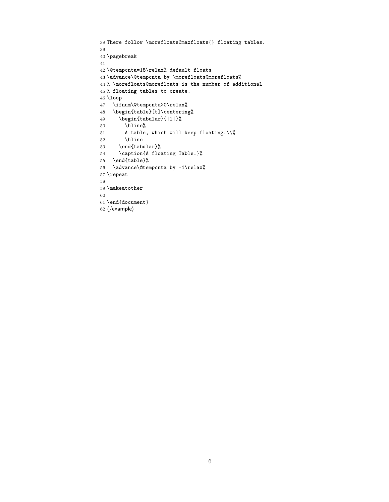```
38 There follow \morefloats@maxfloats{} floating tables.
39
40 \pagebreak
41
42 \@tempcnta=18\relax% default floats
43 \advance\@tempcnta by \morefloats@morefloats%
44 % \morefloats@morefloats is the number of additional
45 % floating tables to create.
46 \loop
47 \ifnum\@tempcnta>0\relax%
48 \begin{table}[t]\centering%
49 \begin{tabular}{|l|}%
50 \hline%
51 A table, which will keep floating.\\%
52 \hline
53 \end{tabular}%
54 \caption{A floating Table.}%
55 \end{table}%
56 \advance\@tempcnta by -1\relax%
57 \repeat
58
59 \makeatother
60
61 \end{document}
62 \langle/example\rangle
```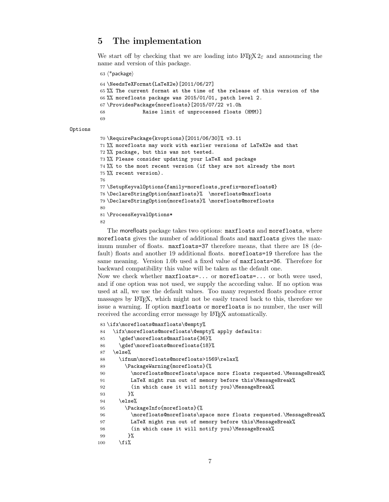# <span id="page-6-0"></span>5 The implementation

We start off by checking that we are loading into  $\angle FFR2_{\epsilon}$  and announcing the name and version of this package.

```
63 \langle*package\rangle
```

```
64 \NeedsTeXFormat{LaTeX2e}[2011/06/27]
65 %% The current format at the time of the release of this version of the
66 %% morefloats package was 2015/01/01, patch level 2.
67 \ProvidesPackage{morefloats}[2015/07/22 v1.0h
68 Raise limit of unprocessed floats (HMM)]
69
```
#### Options

```
70 \RequirePackage{kvoptions}[2011/06/30]% v3.11
71 %% morefloats may work with earlier versions of LaTeX2e and that
72 %% package, but this was not tested.
73 %% Please consider updating your LaTeX and package
74 %% to the most recent version (if they are not already the most
75 %% recent version).
76
77 \SetupKeyvalOptions{family=morefloats,prefix=morefloats@}
78 \DeclareStringOption{maxfloats}% \morefloats@maxfloats
79 \DeclareStringOption{morefloats}% \morefloats@morefloats
80
81 \ProcessKeyvalOptions*
82
```
<span id="page-6-14"></span><span id="page-6-13"></span><span id="page-6-4"></span><span id="page-6-3"></span>The morefloats package takes two options: maxfloats and morefloats, where morefloats gives the number of additional floats and maxfloats gives the maximum number of floats. maxfloats=37 therefore means, that there are 18 (default) floats and another 19 additional floats. morefloats=19 therefore has the same meaning. Version 1.0b used a fixed value of maxfloats=36. Therefore for backward compatibility this value will be taken as the default one.

Now we check whether maxfloats=... or morefloats=... or both were used, and if one option was not used, we supply the according value. If no option was used at all, we use the default values. Too many requested floats produce error massages by LATEX, which might not be easily traced back to this, therefore we issue a warning. If option maxfloats or morefloats is no number, the user will received the according error message by LAT<sub>EX</sub> automatically.

```
83 \ifx\morefloats@maxfloats\@empty%
84 \ifx\morefloats@morefloats\@empty% apply defaults:
85 \gdef\morefloats@maxfloats{36}%
86 \gdef\morefloats@morefloats{18}%
87 \else%
88 \ifnum\morefloats@morefloats>1569\relax%
89 \PackageWarning{morefloats}{%
90 \morefloats@morefloats\space more floats requested.\MessageBreak%
91 LaTeX might run out of memory before this\MessageBreak%
92 (in which case it will notify you)\MessageBreak%
93 }%
94 \else%
95 \PackageInfo{morefloats}{%
96 \morefloats@morefloats\space more floats requested.\MessageBreak%
97 LaTeX might run out of memory before this\MessageBreak%
98 (in which case it will notify you) \MessageBreak%
99 }%
100 \quad \text{ifi%}
```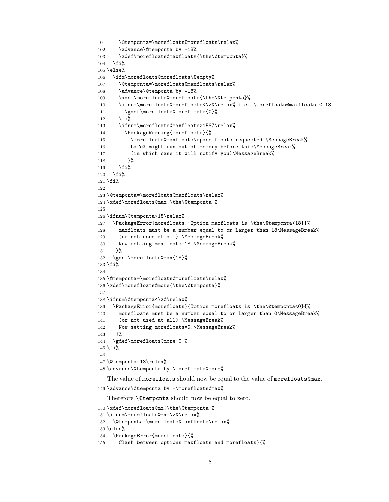```
101 \@tempcnta=\morefloats@morefloats\relax%
102 \advance\@tempcnta by +18%
103 \xdef\morefloats@maxfloats{\the\@tempcnta}%
104 \fi%
105 \text{else}%
106 \ifx\morefloats@morefloats\@empty%
107 \@tempcnta=\morefloats@maxfloats\relax%
108 \advance\@tempcnta by -18%
109 \xdef\morefloats@morefloats{\the\@tempcnta}%
110 \ifnum\morefloats@morefloats<\z@\relax% i.e. \morefloats@maxfloats < 18
111 \gdef\morefloats@morefloats{0}%
112 \overrightarrow{fi}113 \ifnum\morefloats@maxfloats>1587\relax%
114 \PackageWarning{morefloats}{%
115 \morefloats@maxfloats\space floats requested.\MessageBreak%
116 LaTeX might run out of memory before this\MessageBreak%
117 (in which case it will notify you)\MessageBreak%
118 }%
119 \fi%
120 \overline{120}121 \fi%
122
123 \@tempcnta=\morefloats@maxfloats\relax%
124 \xdef\morefloats@max{\the\@tempcnta}%
125
126 \ifnum\@tempcnta<18\relax%
127 \PackageError{morefloats}{Option maxfloats is \the\@tempcnta<18}{%
128 maxfloats must be a number equal to or larger than 18\MessageBreak%
129 (or not used at all). \MessageBreak%
130 Now setting maxfloats=18.\MessageBreak%
131 }%
132 \gdef\morefloats@max{18}%
133 \fi%
134
135 \@tempcnta=\morefloats@morefloats\relax%
136 \xdef\morefloats@more{\the\@tempcnta}%
137
138 \ifnum\@tempcnta<\z@\relax%
139 \PackageError{morefloats}{Option morefloats is \the\@tempcnta<0}{%
140 morefloats must be a number equal to or larger than 0\MessageBreak%
141 (or not used at all). \MessageBreak%
142 Now setting morefloats=0.\MessageBreak%
143 \frac{1}{6}144 \gdef\morefloats@more{0}%
145 \fi%
146
147 \@tempcnta=18\relax%
148 \advance\@tempcnta by \morefloats@more%
   The value of morefloats should now be equal to the value of morefloats@max.
149 \advance\@tempcnta by -\morefloats@max%
   Therefore \@tempcnta should now be equal to zero.
150 \xdef\morefloats@mx{\the\@tempcnta}%
151 \ifnum\morefloats@mx=\z@\relax%
152 \@tempcnta=\morefloats@maxfloats\relax%
153 \else%
```

```
154 \PackageError{morefloats}{%
```

```
155 Clash between options maxfloats and morefloats}{%
```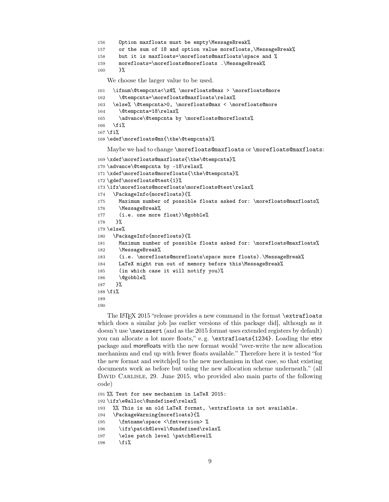```
156 Option maxfloats must be empty\MessageBreak%
157 or the sum of 18 and option value morefloats,\MessageBreak%
158 but it is maxfloats=\morefloats@maxfloats\space and %
159 morefloats=\morefloats@morefloats .\MessageBreak%
160 }%
```
<span id="page-8-15"></span>We choose the larger value to be used.

```
161 \ifnum\@tempcnta<\z@% \morefloats@max > \morefloats@more
162 \@tempcnta=\morefloats@maxfloats\relax%
163 \else% \@tempcnta>0, \morefloats@max < \morefloats@more
164 \@tempcnta=18\relax%
165 \advance\@tempcnta by \morefloats@morefloats%
166 \fi%
167 \fi%
168 \edef\morefloats@mx{\the\@tempcnta}%
```
Maybe we had to change \morefloats@maxfloats or \morefloats@maxfloats:

```
169 \xdef\morefloats@maxfloats{\the\@tempcnta}%
170 \advance\@tempcnta by -18\relax%
171 \xdef\morefloats@morefloats{\the\@tempcnta}%
172 \gdef\morefloats@test{1}%
173 \ifx\morefloats@morefloats\morefloats@test\relax%
174 \PackageInfo{morefloats}{%
175 Maximum number of possible floats asked for: \morefloats@maxfloats%
176 \MessageBreak%
177 (i.e. one more float)\@gobble%
178 }%
179 \else%
180 \PackageInfo{morefloats}{%
181 Maximum number of possible floats asked for: \morefloats@maxfloats%
182 \MessageBreak%
183 (i.e. \morefloats@morefloats\space more floats).\MessageBreak%
184 LaTeX might run out of memory before this\MessageBreak%
185 (in which case it will notify you)%
186 \@gobble%
187 }%
188 \fi%
189
190
```
<span id="page-8-18"></span><span id="page-8-14"></span><span id="page-8-1"></span>The L<sup>AT</sup>EX 2015 "release provides a new command in the format **\extrafloats** which does a similar job [as earlier versions of this package did], although as it doesn't use \newinsert (and as the 2015 format uses extended registers by default) you can allocate a lot more floats," e.g. \extrafloats{1234}. Loading the etex package and morefloats with the new format would "over-write the new allocation mechanism and end up with fewer floats available." Therefore here it is tested "for the new format and switch[ed] to the new mechanism in that case, so that existing documents work as before but using the new allocation scheme underneath." (all DAVID CARLISLE, 29. June 2015, who provided also main parts of the following code)

```
191 %% Test for new mechanism in LaTeX 2015:
192 \ifx\e@alloc\@undefined\relax%
193 %% This is an old LaTeX format, \extrafloats is not available.
194 \PackageWarning{morefloats}{%
195 \fmtname\space <\fmtversion> %
196 \ifx\patch@level\@undefined\relax%
197 \else patch level \patch@level%
198 \fi%
```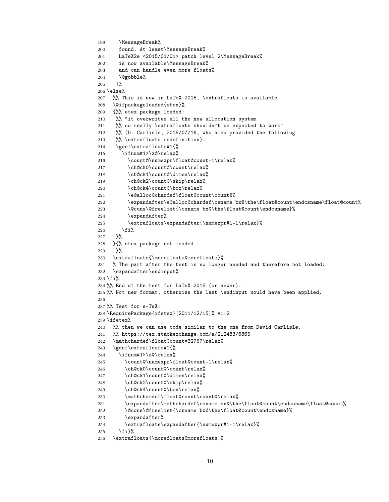```
199 \MessageBreak%
200 found. At least\MessageBreak%
201 LaTeX2e <2015/01/01> patch level 2\MessageBreak%
202 is now available\MessageBreak%
203 and can handle even more floats%
204 \@gobble%
205 }%
206 \else%
207 %% This is new in LaTeX 2015, \extrafloats is available.
208 \@ifpackageloaded{etex}%
209 {%% etex package loaded:
210 %% "it overwrites all the new allocation system
211 %% so really \extrafloats shouldn't be expected to work"
212 %% (D. Carlisle, 2015/07/16, who also provided the following
213 %% \extrafloats redefinition).
214 \gdef\extrafloats#1{%
215 \ifnum#1>\z@\relax%
216 \count@\numexpr\float@count-1\relax%
217 \ch@ck0\count@\count\relax%
218 \ch@ck1\count@\dimen\relax%
219 \ch@ck2\count@\skip\relax%
220 \ch@ck4\count@\box\relax%
221 \e@alloc@chardef\float@count\count@%
222 \expandafter\e@alloc@chardef\csname bx@\the\float@count\endcsname\float@count%
223 \@cons\@freelist{\csname bx@\the\float@count\endcsname}%
224 \expandafter%
225 \extrafloats\expandafter{\numexpr#1-1\relax}%
226 \overline{if'_s}227 }%
228 }{% etex package not loaded
229 \frac{1}{6}230 \extrafloats{\morefloats@morefloats}%
231 % The part after the test is no longer needed and therefore not loaded:
232 \expandafter\endinput%
233 \fi%
234 %% End of the test for LaTeX 2015 (or newer).
235 %% Not new format, otherwise the last \endinput would have been applied.
236
237 %% Test for e-TeX:
238 \RequirePackage{ifetex}[2011/12/15]% v1.2
239 \ifetex%
240 %% then we can use code similar to the one from David Carlisle,
241 %% https://tex.stackexchange.com/a/212483/6865
242 \mathchardef\float@count=32767\relax%
243 \gdef\extrafloats#1{%
244 \ifnum#1>\z@\relax%
245 \count@\numexpr\float@count-1\relax%
246 \ch@ck0\count@\count\relax%
247 \ch@ck1\count@\dimen\relax%
248 \ch@ck2\count@\skip\relax%
249 \ch@ck4\count@\box\relax%
250 \mathchardef\float@count\count@\relax%
251 \exp\{\exp\theta\} \expandafter\mathchardef\csname bx@\the\float@count\endcsname\float@count\
252 \@cons\@freelist{\csname bx@\the\float@count\endcsname}%
253 \expandafter%
254 \extrafloats\expandafter{\numexpr#1-1\relax}%
255 \{f_i\}%
256 \extrafloats{\morefloats@morefloats}%
```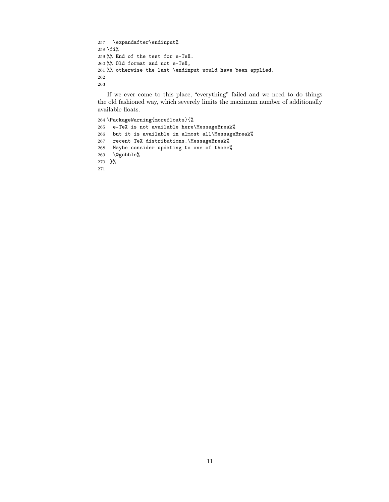```
257 \quad \verb|\example| \verb|\endinput|\@258 \fi%
259 %% End of the test for e-TeX.
260 %% Old format and not e-TeX,
261 %% otherwise the last \endinput would have been applied.
262
263
```
<span id="page-10-2"></span>If we ever come to this place, "everything" failed and we need to do things the old fashioned way, which severely limits the maximum number of additionally available floats.

```
264 \PackageWarning{morefloats}{%
265 e-TeX is not available here\MessageBreak%
266 but it is available in almost all\MessageBreak%
267 recent TeX distributions.\MessageBreak%
268 Maybe consider updating to one of those%
269 \qquad @gobble%
270 }%
271
```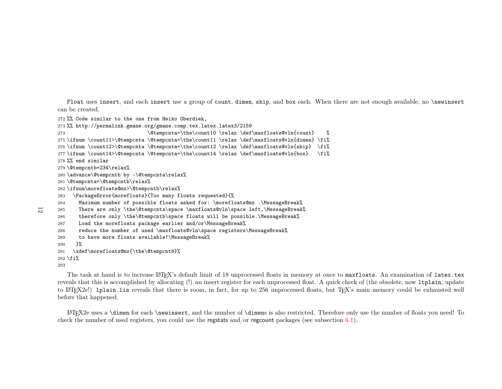<span id="page-11-7"></span><span id="page-11-6"></span><span id="page-11-5"></span><span id="page-11-4"></span><span id="page-11-3"></span><span id="page-11-2"></span><span id="page-11-1"></span><span id="page-11-0"></span>Float uses insert, and each insert use <sup>a</sup> group of count, dimen, skip, and box each. When there are not enoug<sup>h</sup> available, no \newinsert can be created.

272 %% Code similar to the one from Heiko Oberdiek,

273 %% http://permalink.gmane.org/gmane.comp.tex.latex.latex3/2159

 \@tempcnta=\the\count10 \relax \def\maxfloats@vln{count} %274

- 275 \ifnum \count11>\@tempcnta \@tempcnta=\the\count11 \relax \def\maxfloats@vln{dimen} \fi%
- 276 \ifnum \count12>\@tempcnta \@tempcnta=\the\count12 \relax \def\maxfloats@vln{skip} \fi%
- \fi% 277 \ifnum \count14>\@tempcnta \@tempcnta=\the\count14 \relax \def\maxfloats@vln{box} \fi%

278 %% end similar

- 279 \@tempcntb=234\relax%
- 280 \advance\@tempcntb by -\@tempcnta\relax%
- 281 \@tempcnta=\@tempcntb\relax%
- 282 \ifnum\morefloats@mx>\@tempcntb\relax%
- \PackageError{morefloats}{Too many floats requested}{%283

 Maximum number of possible floats asked for: \morefloats@mx .\MessageBreak%284

```

 There are only \the\@tempcnta\space \maxfloats@vln\space left,\MessageBreak%285
```

```
286 therefore only \the\@tempcntb\space floats will be possible.\MessageBreak%
```

```
287 Load the morefloats package earlier and/or\MessageBreak%
```

```

 reduce the number of used \maxfloats@vln\space registers\MessageBreak%288
```
289to have more floats available!\MessageBreak%

290}%

```

 \xdef\morefloats@mx{\the\@tempcntb}%291
```
 $292 \setminus f$ i $\%$ 

```
293
```
The task at hand is to increase L<sup>a</sup>TEX's default limit of 18 unprocessed floats in memory at once to  $\texttt{maxfloats}.$  An examination of  $\texttt{later.tex}$ reveals that this is accomplished by allocating (!) an insert register for each unprocessed float. A quick check of (the obsolete, now ltplain, update to <sup>L</sup><sup>A</sup>TEX2e!) lplain.lis reveals that there is room, in fact, for up to <sup>256</sup> unprocessed floats, but TEX's main memory could be exhausted well before that happened.

L<sup>A</sup>TEX2e uses <sup>a</sup> \dimen for each \newinsert, and the number of \dimen<sup>s</sup> is also restricted. Therefore only use the number of floats you need! To check the number of used registers, you could use the regstats and/or regcount packages (see subsection  $6.1$ ).

12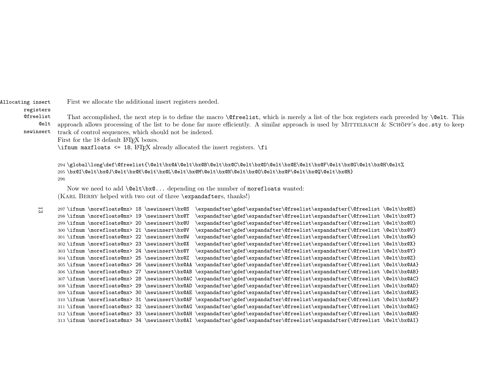<span id="page-12-0"></span>Allocating insertFirst we allocate the additional insert registers needed.

#### registers

 @freelist @elt newinsertThat accomplished, the next step is to define the macro  $\{\text{freelist}, \text{which is merely a list of the box registers each preceded by } \@elt. This$ approach allows processing of the list to be done far more efficiently. A similar approach is used by MITTELBACH  $\&$  SCHÖPF's  $\tt doc.sty$  to keep track of control sequences, which should not be indexed.

First for the 18 default LAT<sub>EX</sub> boxes.

\ifnum maxfloats  $\leq 18$ ,  $\LaTeX$  already allocated the insert registers. \fi

294 \global\long\def\@freelist{\@elt\bx@A\@elt\bx@B\@elt\bx@C\@elt\bx@D\@elt\bx@E\@elt\bx@F\@elt\bx@G\@elt\bx@H\@elt%295 \bx@I\@elt\bx@J\@elt\bx@K\@elt\bx@L\@elt\bx@M\@elt\bx@N\@elt\bx@O\@elt\bx@P\@elt\bx@Q\@elt\bx@R}296

Now we need to add \@elt\bx@... depending on the number of morefloats wanted: (KARL BERRY helped with two out of three \expandafters, thanks!)

```
297\ifnum \morefloats@mx> 18 \newinsert\bx@S
                                                     \expandafter\gdef\expandafter\@freelist\expandafter{\@freelist\@elt\bx@S}

 \ifnum \morefloats@mx> 19 \newinsert\bx@T \expandafter\gdef\expandafter\@freelist\expandafter{\@freelist \@elt\bx@T}298 \ifnum \morefloats@mx> 19 \newinsert\bx@T

 \ifnum \morefloats@mx> 20 \newinsert\bx@U \expandafter\gdef\expandafter\@freelist\expandafter{\@freelist \@elt\bx@U}299 \ifnum \morefloats@mx> 20 \newinsert\bx@U
        \delta \ifnum \morefloats@mx> 21 \newinsert\bx@V \exp\{e\exp\{e\frac{\gamma\delta}{\epsilon}\}\exp\{e\exp\{e\exp\{e\exp\{e\exp\{e\}}\right\}}\}300 \ifnum \morefloats@mx> 21 \newinsert\bx@V

 \ifnum \morefloats@mx> 22 \newinsert\bx@W \expandafter\gdef\expandafter\@freelist\expandafter{\@freelist \@elt\bx@W}301 \ifnum \morefloats@mx> 22 \newinsert\bx@W

 \ifnum \morefloats@mx> 23 \newinsert\bx@X \expandafter\gdef\expandafter\@freelist\expandafter{\@freelist \@elt\bx@X}302 \ifnum \morefloats@mx> 23 \newinsert\bx@X

 \ifnum \morefloats@mx> 24 \newinsert\bx@Y \expandafter\gdef\expandafter\@freelist\expandafter{\@freelist \@elt\bx@Y}303 \ifnum \morefloats@mx> 24 \newinsert\bx@Y

 \ifnum \morefloats@mx> 25 \newinsert\bx@Z \expandafter\gdef\expandafter\@freelist\expandafter{\@freelist \@elt\bx@Z}304 \ifnum \morefloats@mx> 25 \newinsert\bx@Z

 \ifnum \morefloats@mx> 26 \newinsert\bx@AA \expandafter\gdef\expandafter\@freelist\expandafter{\@freelist \@elt\bx@AA}305 \ifnum \morefloats@mx> 26 \newinsert\bx@AA
        \delta \ifnum \morefloats@mx> 27 \newinsert\bx@AB \expandafter\gdef\expandafter\@freelist\expandafter{\@freelist \@elt\bx@AB}
      306 \ifnum \morefloats@mx> 27 \newinsert\bx@AB

 \ifnum \morefloats@mx> 28 \newinsert\bx@AC \expandafter\gdef\expandafter\@freelist\expandafter{\@freelist \@elt\bx@AC}307\ifnum\morefloats@mx> 28\newinsert\bx@AC

308 \ifnum \morefloats@mx> 29 \newinsert\bx@AD \expandafter\gdef\expandafter\@freelist\expandafter{\@freelist \@elt\bx@AD}
309 \ifnum \morefloats@mx> 30 \newinsert\bx@AE \expandafter\gdef\expandafter\@freelist\expandafter{\@freelist \@elt\bx@AE}
310 \ifnum \morefloats@mx> 31 \newinsert\bx@AF \expandafter\gdef\expandafter\@freelist\expandafter{\@freelist \@elt\bx@AF}
311 \ifnum \morefloats@mx> 32 \newinsert\bx@AG \expandafter\gdef\expandafter\@freelist\expandafter{\@freelist \@elt\bx@AG}
312 \ifnum \morefloats@mx> 33 \newinsert\bx@AH \expandafter\gdef\expandafter\@freelist\expandafter{\@freelist \@elt\bx@AH}
313 \ifnum \morefloats@mx> 34 \newinsert\bx@AI \expandafter\gdef\expandafter\@freelist\expandafter{\@freelist \@elt\bx@AI}13
```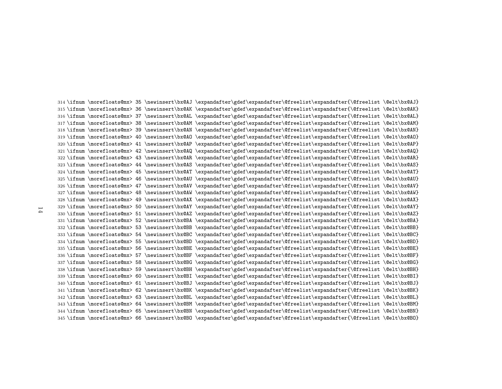\ifnum \morefloats@mx> <sup>35</sup> \newinsert\bx@AJ \expandafter\gdef\expandafter\@freelist\expandafter{\@freelist \@elt\bx@AJ} \ifnum \morefloats@mx> <sup>36</sup> \newinsert\bx@AK \expandafter\gdef\expandafter\@freelist\expandafter{\@freelist \@elt\bx@AK} \ifnum \morefloats@mx> <sup>37</sup> \newinsert\bx@AL \expandafter\gdef\expandafter\@freelist\expandafter{\@freelist \@elt\bx@AL} \ifnum \morefloats@mx> <sup>38</sup> \newinsert\bx@AM \expandafter\gdef\expandafter\@freelist\expandafter{\@freelist \@elt\bx@AM} \ifnum \morefloats@mx> <sup>39</sup> \newinsert\bx@AN \expandafter\gdef\expandafter\@freelist\expandafter{\@freelist \@elt\bx@AN} \ifnum \morefloats@mx> <sup>40</sup> \newinsert\bx@AO \expandafter\gdef\expandafter\@freelist\expandafter{\@freelist \@elt\bx@AO} \ifnum \morefloats@mx> <sup>41</sup> \newinsert\bx@AP \expandafter\gdef\expandafter\@freelist\expandafter{\@freelist \@elt\bx@AP} \ifnum \morefloats@mx> <sup>42</sup> \newinsert\bx@AQ \expandafter\gdef\expandafter\@freelist\expandafter{\@freelist \@elt\bx@AQ} \ifnum \morefloats@mx> <sup>43</sup> \newinsert\bx@AR \expandafter\gdef\expandafter\@freelist\expandafter{\@freelist \@elt\bx@AR} \ifnum \morefloats@mx> <sup>44</sup> \newinsert\bx@AS \expandafter\gdef\expandafter\@freelist\expandafter{\@freelist \@elt\bx@AS} \ifnum \morefloats@mx> <sup>45</sup> \newinsert\bx@AT \expandafter\gdef\expandafter\@freelist\expandafter{\@freelist \@elt\bx@AT} \ifnum \morefloats@mx> <sup>46</sup> \newinsert\bx@AU \expandafter\gdef\expandafter\@freelist\expandafter{\@freelist \@elt\bx@AU} \ifnum \morefloats@mx> <sup>47</sup> \newinsert\bx@AV \expandafter\gdef\expandafter\@freelist\expandafter{\@freelist \@elt\bx@AV} \ifnum \morefloats@mx> <sup>48</sup> \newinsert\bx@AW \expandafter\gdef\expandafter\@freelist\expandafter{\@freelist \@elt\bx@AW} \ifnum \morefloats@mx> <sup>49</sup> \newinsert\bx@AX \expandafter\gdef\expandafter\@freelist\expandafter{\@freelist \@elt\bx@AX} \ifnum \morefloats@mx> <sup>50</sup> \newinsert\bx@AY \expandafter\gdef\expandafter\@freelist\expandafter{\@freelist \@elt\bx@AY} \ifnum \morefloats@mx> <sup>51</sup> \newinsert\bx@AZ \expandafter\gdef\expandafter\@freelist\expandafter{\@freelist \@elt\bx@AZ} \ifnum \morefloats@mx> <sup>52</sup> \newinsert\bx@BA \expandafter\gdef\expandafter\@freelist\expandafter{\@freelist \@elt\bx@BA} \ifnum \morefloats@mx> <sup>53</sup> \newinsert\bx@BB \expandafter\gdef\expandafter\@freelist\expandafter{\@freelist \@elt\bx@BB} \ifnum \morefloats@mx> <sup>54</sup> \newinsert\bx@BC \expandafter\gdef\expandafter\@freelist\expandafter{\@freelist \@elt\bx@BC} \ifnum \morefloats@mx> <sup>55</sup> \newinsert\bx@BD \expandafter\gdef\expandafter\@freelist\expandafter{\@freelist \@elt\bx@BD} \ifnum \morefloats@mx> <sup>56</sup> \newinsert\bx@BE \expandafter\gdef\expandafter\@freelist\expandafter{\@freelist \@elt\bx@BE} \ifnum \morefloats@mx> <sup>57</sup> \newinsert\bx@BF \expandafter\gdef\expandafter\@freelist\expandafter{\@freelist \@elt\bx@BF} \ifnum \morefloats@mx> <sup>58</sup> \newinsert\bx@BG \expandafter\gdef\expandafter\@freelist\expandafter{\@freelist \@elt\bx@BG} \ifnum \morefloats@mx> <sup>59</sup> \newinsert\bx@BH \expandafter\gdef\expandafter\@freelist\expandafter{\@freelist \@elt\bx@BH} \ifnum \morefloats@mx> <sup>60</sup> \newinsert\bx@BI \expandafter\gdef\expandafter\@freelist\expandafter{\@freelist \@elt\bx@BI} \ifnum \morefloats@mx> <sup>61</sup> \newinsert\bx@BJ \expandafter\gdef\expandafter\@freelist\expandafter{\@freelist \@elt\bx@BJ} \ifnum \morefloats@mx> <sup>62</sup> \newinsert\bx@BK \expandafter\gdef\expandafter\@freelist\expandafter{\@freelist \@elt\bx@BK} \ifnum \morefloats@mx> <sup>63</sup> \newinsert\bx@BL \expandafter\gdef\expandafter\@freelist\expandafter{\@freelist \@elt\bx@BL} \ifnum \morefloats@mx> <sup>64</sup> \newinsert\bx@BM \expandafter\gdef\expandafter\@freelist\expandafter{\@freelist \@elt\bx@BM} \ifnum \morefloats@mx> <sup>65</sup> \newinsert\bx@BN \expandafter\gdef\expandafter\@freelist\expandafter{\@freelist \@elt\bx@BN}\ifnum \morefloats@mx> <sup>66</sup> \newinsert\bx@BO \expandafter\gdef\expandafter\@freelist\expandafter{\@freelist \@elt\bx@BO}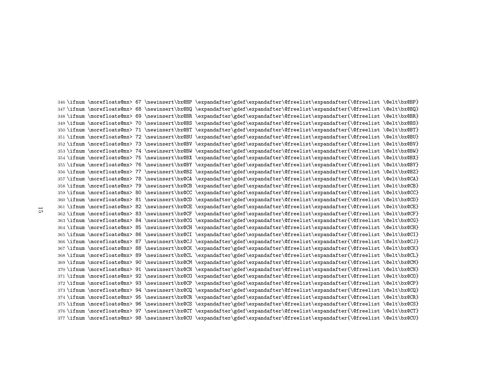\ifnum \morefloats@mx> <sup>67</sup> \newinsert\bx@BP \expandafter\gdef\expandafter\@freelist\expandafter{\@freelist \@elt\bx@BP} \ifnum \morefloats@mx> <sup>68</sup> \newinsert\bx@BQ \expandafter\gdef\expandafter\@freelist\expandafter{\@freelist \@elt\bx@BQ} \ifnum \morefloats@mx> <sup>69</sup> \newinsert\bx@BR \expandafter\gdef\expandafter\@freelist\expandafter{\@freelist \@elt\bx@BR} \ifnum \morefloats@mx> <sup>70</sup> \newinsert\bx@BS \expandafter\gdef\expandafter\@freelist\expandafter{\@freelist \@elt\bx@BS} \ifnum \morefloats@mx> <sup>71</sup> \newinsert\bx@BT \expandafter\gdef\expandafter\@freelist\expandafter{\@freelist \@elt\bx@BT} \ifnum \morefloats@mx> <sup>72</sup> \newinsert\bx@BU \expandafter\gdef\expandafter\@freelist\expandafter{\@freelist \@elt\bx@BU} \ifnum \morefloats@mx> <sup>73</sup> \newinsert\bx@BV \expandafter\gdef\expandafter\@freelist\expandafter{\@freelist \@elt\bx@BV} \ifnum \morefloats@mx> <sup>74</sup> \newinsert\bx@BW \expandafter\gdef\expandafter\@freelist\expandafter{\@freelist \@elt\bx@BW} \ifnum \morefloats@mx> <sup>75</sup> \newinsert\bx@BX \expandafter\gdef\expandafter\@freelist\expandafter{\@freelist \@elt\bx@BX} \ifnum \morefloats@mx> <sup>76</sup> \newinsert\bx@BY \expandafter\gdef\expandafter\@freelist\expandafter{\@freelist \@elt\bx@BY} \ifnum \morefloats@mx> <sup>77</sup> \newinsert\bx@BZ \expandafter\gdef\expandafter\@freelist\expandafter{\@freelist \@elt\bx@BZ} \ifnum \morefloats@mx> <sup>78</sup> \newinsert\bx@CA \expandafter\gdef\expandafter\@freelist\expandafter{\@freelist \@elt\bx@CA} \ifnum \morefloats@mx> <sup>79</sup> \newinsert\bx@CB \expandafter\gdef\expandafter\@freelist\expandafter{\@freelist \@elt\bx@CB} \ifnum \morefloats@mx> <sup>80</sup> \newinsert\bx@CC \expandafter\gdef\expandafter\@freelist\expandafter{\@freelist \@elt\bx@CC} \ifnum \morefloats@mx> <sup>81</sup> \newinsert\bx@CD \expandafter\gdef\expandafter\@freelist\expandafter{\@freelist \@elt\bx@CD} \ifnum \morefloats@mx> <sup>82</sup> \newinsert\bx@CE \expandafter\gdef\expandafter\@freelist\expandafter{\@freelist \@elt\bx@CE} \ifnum \morefloats@mx> <sup>83</sup> \newinsert\bx@CF \expandafter\gdef\expandafter\@freelist\expandafter{\@freelist \@elt\bx@CF} \ifnum \morefloats@mx> <sup>84</sup> \newinsert\bx@CG \expandafter\gdef\expandafter\@freelist\expandafter{\@freelist \@elt\bx@CG} \ifnum \morefloats@mx> <sup>85</sup> \newinsert\bx@CH \expandafter\gdef\expandafter\@freelist\expandafter{\@freelist \@elt\bx@CH} \ifnum \morefloats@mx> <sup>86</sup> \newinsert\bx@CI \expandafter\gdef\expandafter\@freelist\expandafter{\@freelist \@elt\bx@CI} \ifnum \morefloats@mx> <sup>87</sup> \newinsert\bx@CJ \expandafter\gdef\expandafter\@freelist\expandafter{\@freelist \@elt\bx@CJ} \ifnum \morefloats@mx> <sup>88</sup> \newinsert\bx@CK \expandafter\gdef\expandafter\@freelist\expandafter{\@freelist \@elt\bx@CK} \ifnum \morefloats@mx> <sup>89</sup> \newinsert\bx@CL \expandafter\gdef\expandafter\@freelist\expandafter{\@freelist \@elt\bx@CL} \ifnum \morefloats@mx> <sup>90</sup> \newinsert\bx@CM \expandafter\gdef\expandafter\@freelist\expandafter{\@freelist \@elt\bx@CM} \ifnum \morefloats@mx> <sup>91</sup> \newinsert\bx@CN \expandafter\gdef\expandafter\@freelist\expandafter{\@freelist \@elt\bx@CN} \ifnum \morefloats@mx> <sup>92</sup> \newinsert\bx@CO \expandafter\gdef\expandafter\@freelist\expandafter{\@freelist \@elt\bx@CO} \ifnum \morefloats@mx> <sup>93</sup> \newinsert\bx@CP \expandafter\gdef\expandafter\@freelist\expandafter{\@freelist \@elt\bx@CP} \ifnum \morefloats@mx> <sup>94</sup> \newinsert\bx@CQ \expandafter\gdef\expandafter\@freelist\expandafter{\@freelist \@elt\bx@CQ} \ifnum \morefloats@mx> <sup>95</sup> \newinsert\bx@CR \expandafter\gdef\expandafter\@freelist\expandafter{\@freelist \@elt\bx@CR} \ifnum \morefloats@mx> <sup>96</sup> \newinsert\bx@CS \expandafter\gdef\expandafter\@freelist\expandafter{\@freelist \@elt\bx@CS} \ifnum \morefloats@mx> <sup>97</sup> \newinsert\bx@CT \expandafter\gdef\expandafter\@freelist\expandafter{\@freelist \@elt\bx@CT}\ifnum \morefloats@mx> <sup>98</sup> \newinsert\bx@CU \expandafter\gdef\expandafter\@freelist\expandafter{\@freelist \@elt\bx@CU}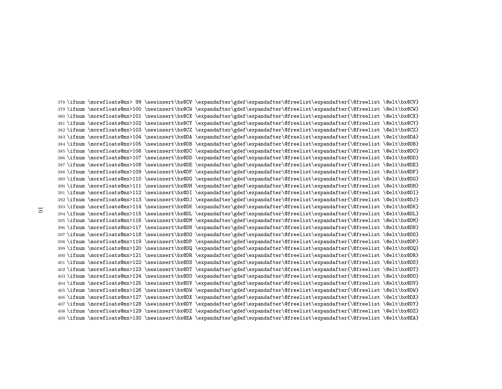\ifnum \morefloats@mx> <sup>99</sup> \newinsert\bx@CV \expandafter\gdef\expandafter\@freelist\expandafter{\@freelist \@elt\bx@CV} \ifnum \morefloats@mx>100 \newinsert\bx@CW \expandafter\gdef\expandafter\@freelist\expandafter{\@freelist \@elt\bx@CW} \ifnum \morefloats@mx>101 \newinsert\bx@CX \expandafter\gdef\expandafter\@freelist\expandafter{\@freelist \@elt\bx@CX} \ifnum \morefloats@mx>102 \newinsert\bx@CY \expandafter\gdef\expandafter\@freelist\expandafter{\@freelist \@elt\bx@CY} \ifnum \morefloats@mx>103 \newinsert\bx@CZ \expandafter\gdef\expandafter\@freelist\expandafter{\@freelist \@elt\bx@CZ} \ifnum \morefloats@mx>104 \newinsert\bx@DA \expandafter\gdef\expandafter\@freelist\expandafter{\@freelist \@elt\bx@DA} \ifnum \morefloats@mx>105 \newinsert\bx@DB \expandafter\gdef\expandafter\@freelist\expandafter{\@freelist \@elt\bx@DB} \ifnum \morefloats@mx>106 \newinsert\bx@DC \expandafter\gdef\expandafter\@freelist\expandafter{\@freelist \@elt\bx@DC} \ifnum \morefloats@mx>107 \newinsert\bx@DD \expandafter\gdef\expandafter\@freelist\expandafter{\@freelist \@elt\bx@DD} \ifnum \morefloats@mx>108 \newinsert\bx@DE \expandafter\gdef\expandafter\@freelist\expandafter{\@freelist \@elt\bx@DE} \ifnum \morefloats@mx>109 \newinsert\bx@DF \expandafter\gdef\expandafter\@freelist\expandafter{\@freelist \@elt\bx@DF} \ifnum \morefloats@mx>110 \newinsert\bx@DG \expandafter\gdef\expandafter\@freelist\expandafter{\@freelist \@elt\bx@DG} \ifnum \morefloats@mx>111 \newinsert\bx@DH \expandafter\gdef\expandafter\@freelist\expandafter{\@freelist \@elt\bx@DH} \ifnum \morefloats@mx>112 \newinsert\bx@DI \expandafter\gdef\expandafter\@freelist\expandafter{\@freelist \@elt\bx@DI} \ifnum \morefloats@mx>113 \newinsert\bx@DJ \expandafter\gdef\expandafter\@freelist\expandafter{\@freelist \@elt\bx@DJ} \ifnum \morefloats@mx>114 \newinsert\bx@DK \expandafter\gdef\expandafter\@freelist\expandafter{\@freelist \@elt\bx@DK} \ifnum \morefloats@mx>115 \newinsert\bx@DL \expandafter\gdef\expandafter\@freelist\expandafter{\@freelist \@elt\bx@DL} \ifnum \morefloats@mx>116 \newinsert\bx@DM \expandafter\gdef\expandafter\@freelist\expandafter{\@freelist \@elt\bx@DM} \ifnum \morefloats@mx>117 \newinsert\bx@DN \expandafter\gdef\expandafter\@freelist\expandafter{\@freelist \@elt\bx@DN} \ifnum \morefloats@mx>118 \newinsert\bx@DO \expandafter\gdef\expandafter\@freelist\expandafter{\@freelist \@elt\bx@DO} \ifnum \morefloats@mx>119 \newinsert\bx@DP \expandafter\gdef\expandafter\@freelist\expandafter{\@freelist \@elt\bx@DP} \ifnum \morefloats@mx>120 \newinsert\bx@DQ \expandafter\gdef\expandafter\@freelist\expandafter{\@freelist \@elt\bx@DQ} \ifnum \morefloats@mx>121 \newinsert\bx@DR \expandafter\gdef\expandafter\@freelist\expandafter{\@freelist \@elt\bx@DR} \ifnum \morefloats@mx>122 \newinsert\bx@DS \expandafter\gdef\expandafter\@freelist\expandafter{\@freelist \@elt\bx@DS} \ifnum \morefloats@mx>123 \newinsert\bx@DT \expandafter\gdef\expandafter\@freelist\expandafter{\@freelist \@elt\bx@DT} \ifnum \morefloats@mx>124 \newinsert\bx@DU \expandafter\gdef\expandafter\@freelist\expandafter{\@freelist \@elt\bx@DU} \ifnum \morefloats@mx>125 \newinsert\bx@DV \expandafter\gdef\expandafter\@freelist\expandafter{\@freelist \@elt\bx@DV} \ifnum \morefloats@mx>126 \newinsert\bx@DW \expandafter\gdef\expandafter\@freelist\expandafter{\@freelist \@elt\bx@DW} \ifnum \morefloats@mx>127 \newinsert\bx@DX \expandafter\gdef\expandafter\@freelist\expandafter{\@freelist \@elt\bx@DX} \ifnum \morefloats@mx>128 \newinsert\bx@DY \expandafter\gdef\expandafter\@freelist\expandafter{\@freelist \@elt\bx@DY} \ifnum \morefloats@mx>129 \newinsert\bx@DZ \expandafter\gdef\expandafter\@freelist\expandafter{\@freelist \@elt\bx@DZ}\ifnum \morefloats@mx>130 \newinsert\bx@EA \expandafter\gdef\expandafter\@freelist\expandafter{\@freelist \@elt\bx@EA}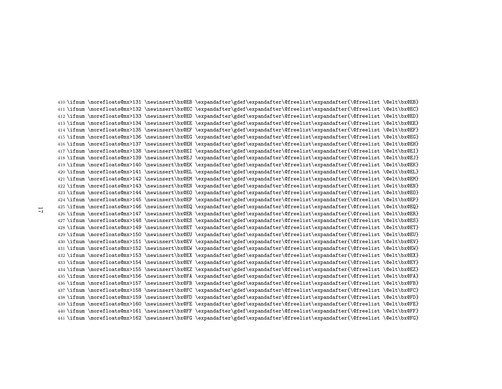\ifnum \morefloats@mx>131 \newinsert\bx@EB \expandafter\gdef\expandafter\@freelist\expandafter{\@freelist \@elt\bx@EB} \ifnum \morefloats@mx>132 \newinsert\bx@EC \expandafter\gdef\expandafter\@freelist\expandafter{\@freelist \@elt\bx@EC} \ifnum \morefloats@mx>133 \newinsert\bx@ED \expandafter\gdef\expandafter\@freelist\expandafter{\@freelist \@elt\bx@ED} \ifnum \morefloats@mx>134 \newinsert\bx@EE \expandafter\gdef\expandafter\@freelist\expandafter{\@freelist \@elt\bx@EE} \ifnum \morefloats@mx>135 \newinsert\bx@EF \expandafter\gdef\expandafter\@freelist\expandafter{\@freelist \@elt\bx@EF} \ifnum \morefloats@mx>136 \newinsert\bx@EG \expandafter\gdef\expandafter\@freelist\expandafter{\@freelist \@elt\bx@EG} \ifnum \morefloats@mx>137 \newinsert\bx@EH \expandafter\gdef\expandafter\@freelist\expandafter{\@freelist \@elt\bx@EH} \ifnum \morefloats@mx>138 \newinsert\bx@EI \expandafter\gdef\expandafter\@freelist\expandafter{\@freelist \@elt\bx@EI} \ifnum \morefloats@mx>139 \newinsert\bx@EJ \expandafter\gdef\expandafter\@freelist\expandafter{\@freelist \@elt\bx@EJ} \ifnum \morefloats@mx>140 \newinsert\bx@EK \expandafter\gdef\expandafter\@freelist\expandafter{\@freelist \@elt\bx@EK} \ifnum \morefloats@mx>141 \newinsert\bx@EL \expandafter\gdef\expandafter\@freelist\expandafter{\@freelist \@elt\bx@EL} \ifnum \morefloats@mx>142 \newinsert\bx@EM \expandafter\gdef\expandafter\@freelist\expandafter{\@freelist \@elt\bx@EM} \ifnum \morefloats@mx>143 \newinsert\bx@EN \expandafter\gdef\expandafter\@freelist\expandafter{\@freelist \@elt\bx@EN} \ifnum \morefloats@mx>144 \newinsert\bx@EO \expandafter\gdef\expandafter\@freelist\expandafter{\@freelist \@elt\bx@EO} \ifnum \morefloats@mx>145 \newinsert\bx@EP \expandafter\gdef\expandafter\@freelist\expandafter{\@freelist \@elt\bx@EP} \ifnum \morefloats@mx>146 \newinsert\bx@EQ \expandafter\gdef\expandafter\@freelist\expandafter{\@freelist \@elt\bx@EQ} \ifnum \morefloats@mx>147 \newinsert\bx@ER \expandafter\gdef\expandafter\@freelist\expandafter{\@freelist \@elt\bx@ER} \ifnum \morefloats@mx>148 \newinsert\bx@ES \expandafter\gdef\expandafter\@freelist\expandafter{\@freelist \@elt\bx@ES} \ifnum \morefloats@mx>149 \newinsert\bx@ET \expandafter\gdef\expandafter\@freelist\expandafter{\@freelist \@elt\bx@ET} \ifnum \morefloats@mx>150 \newinsert\bx@EU \expandafter\gdef\expandafter\@freelist\expandafter{\@freelist \@elt\bx@EU} \ifnum \morefloats@mx>151 \newinsert\bx@EV \expandafter\gdef\expandafter\@freelist\expandafter{\@freelist \@elt\bx@EV} \ifnum \morefloats@mx>152 \newinsert\bx@EW \expandafter\gdef\expandafter\@freelist\expandafter{\@freelist \@elt\bx@EW} \ifnum \morefloats@mx>153 \newinsert\bx@EX \expandafter\gdef\expandafter\@freelist\expandafter{\@freelist \@elt\bx@EX} \ifnum \morefloats@mx>154 \newinsert\bx@EY \expandafter\gdef\expandafter\@freelist\expandafter{\@freelist \@elt\bx@EY} \ifnum \morefloats@mx>155 \newinsert\bx@EZ \expandafter\gdef\expandafter\@freelist\expandafter{\@freelist \@elt\bx@EZ} \ifnum \morefloats@mx>156 \newinsert\bx@FA \expandafter\gdef\expandafter\@freelist\expandafter{\@freelist \@elt\bx@FA} \ifnum \morefloats@mx>157 \newinsert\bx@FB \expandafter\gdef\expandafter\@freelist\expandafter{\@freelist \@elt\bx@FB} \ifnum \morefloats@mx>158 \newinsert\bx@FC \expandafter\gdef\expandafter\@freelist\expandafter{\@freelist \@elt\bx@FC} \ifnum \morefloats@mx>159 \newinsert\bx@FD \expandafter\gdef\expandafter\@freelist\expandafter{\@freelist \@elt\bx@FD} \ifnum \morefloats@mx>160 \newinsert\bx@FE \expandafter\gdef\expandafter\@freelist\expandafter{\@freelist \@elt\bx@FE} \ifnum \morefloats@mx>161 \newinsert\bx@FF \expandafter\gdef\expandafter\@freelist\expandafter{\@freelist \@elt\bx@FF}\ifnum \morefloats@mx>162 \newinsert\bx@FG \expandafter\gdef\expandafter\@freelist\expandafter{\@freelist \@elt\bx@FG}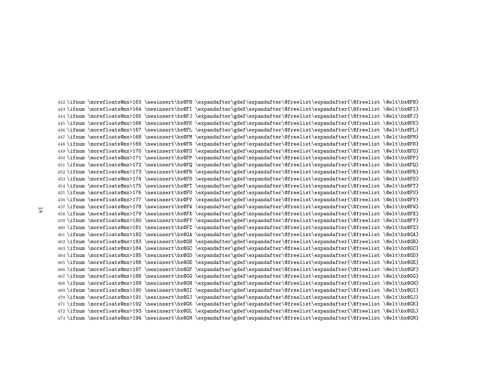\ifnum \morefloats@mx>163 \newinsert\bx@FH \expandafter\gdef\expandafter\@freelist\expandafter{\@freelist \@elt\bx@FH} \ifnum \morefloats@mx>164 \newinsert\bx@FI \expandafter\gdef\expandafter\@freelist\expandafter{\@freelist \@elt\bx@FI} \ifnum \morefloats@mx>165 \newinsert\bx@FJ \expandafter\gdef\expandafter\@freelist\expandafter{\@freelist \@elt\bx@FJ} \ifnum \morefloats@mx>166 \newinsert\bx@FK \expandafter\gdef\expandafter\@freelist\expandafter{\@freelist \@elt\bx@FK} \ifnum \morefloats@mx>167 \newinsert\bx@FL \expandafter\gdef\expandafter\@freelist\expandafter{\@freelist \@elt\bx@FL} \ifnum \morefloats@mx>168 \newinsert\bx@FM \expandafter\gdef\expandafter\@freelist\expandafter{\@freelist \@elt\bx@FM} \ifnum \morefloats@mx>169 \newinsert\bx@FN \expandafter\gdef\expandafter\@freelist\expandafter{\@freelist \@elt\bx@FN} \ifnum \morefloats@mx>170 \newinsert\bx@FO \expandafter\gdef\expandafter\@freelist\expandafter{\@freelist \@elt\bx@FO} \ifnum \morefloats@mx>171 \newinsert\bx@FP \expandafter\gdef\expandafter\@freelist\expandafter{\@freelist \@elt\bx@FP} \ifnum \morefloats@mx>172 \newinsert\bx@FQ \expandafter\gdef\expandafter\@freelist\expandafter{\@freelist \@elt\bx@FQ} \ifnum \morefloats@mx>173 \newinsert\bx@FR \expandafter\gdef\expandafter\@freelist\expandafter{\@freelist \@elt\bx@FR} \ifnum \morefloats@mx>174 \newinsert\bx@FS \expandafter\gdef\expandafter\@freelist\expandafter{\@freelist \@elt\bx@FS} \ifnum \morefloats@mx>175 \newinsert\bx@FT \expandafter\gdef\expandafter\@freelist\expandafter{\@freelist \@elt\bx@FT} \ifnum \morefloats@mx>176 \newinsert\bx@FU \expandafter\gdef\expandafter\@freelist\expandafter{\@freelist \@elt\bx@FU} \ifnum \morefloats@mx>177 \newinsert\bx@FV \expandafter\gdef\expandafter\@freelist\expandafter{\@freelist \@elt\bx@FV} \ifnum \morefloats@mx>178 \newinsert\bx@FW \expandafter\gdef\expandafter\@freelist\expandafter{\@freelist \@elt\bx@FW} \ifnum \morefloats@mx>179 \newinsert\bx@FX \expandafter\gdef\expandafter\@freelist\expandafter{\@freelist \@elt\bx@FX} \ifnum \morefloats@mx>180 \newinsert\bx@FY \expandafter\gdef\expandafter\@freelist\expandafter{\@freelist \@elt\bx@FY} \ifnum \morefloats@mx>181 \newinsert\bx@FZ \expandafter\gdef\expandafter\@freelist\expandafter{\@freelist \@elt\bx@FZ} \ifnum \morefloats@mx>182 \newinsert\bx@GA \expandafter\gdef\expandafter\@freelist\expandafter{\@freelist \@elt\bx@GA} \ifnum \morefloats@mx>183 \newinsert\bx@GB \expandafter\gdef\expandafter\@freelist\expandafter{\@freelist \@elt\bx@GB} \ifnum \morefloats@mx>184 \newinsert\bx@GC \expandafter\gdef\expandafter\@freelist\expandafter{\@freelist \@elt\bx@GC} \ifnum \morefloats@mx>185 \newinsert\bx@GD \expandafter\gdef\expandafter\@freelist\expandafter{\@freelist \@elt\bx@GD} \ifnum \morefloats@mx>186 \newinsert\bx@GE \expandafter\gdef\expandafter\@freelist\expandafter{\@freelist \@elt\bx@GE} \ifnum \morefloats@mx>187 \newinsert\bx@GF \expandafter\gdef\expandafter\@freelist\expandafter{\@freelist \@elt\bx@GF} \ifnum \morefloats@mx>188 \newinsert\bx@GG \expandafter\gdef\expandafter\@freelist\expandafter{\@freelist \@elt\bx@GG} \ifnum \morefloats@mx>189 \newinsert\bx@GH \expandafter\gdef\expandafter\@freelist\expandafter{\@freelist \@elt\bx@GH} \ifnum \morefloats@mx>190 \newinsert\bx@GI \expandafter\gdef\expandafter\@freelist\expandafter{\@freelist \@elt\bx@GI} \ifnum \morefloats@mx>191 \newinsert\bx@GJ \expandafter\gdef\expandafter\@freelist\expandafter{\@freelist \@elt\bx@GJ} \ifnum \morefloats@mx>192 \newinsert\bx@GK \expandafter\gdef\expandafter\@freelist\expandafter{\@freelist \@elt\bx@GK} \ifnum \morefloats@mx>193 \newinsert\bx@GL \expandafter\gdef\expandafter\@freelist\expandafter{\@freelist \@elt\bx@GL}\ifnum \morefloats@mx>194 \newinsert\bx@GM \expandafter\gdef\expandafter\@freelist\expandafter{\@freelist \@elt\bx@GM}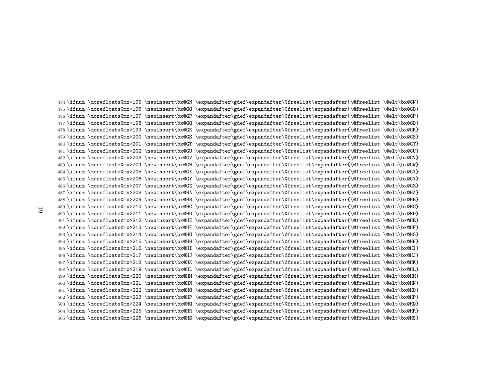\ifnum \morefloats@mx>195 \newinsert\bx@GN \expandafter\gdef\expandafter\@freelist\expandafter{\@freelist \@elt\bx@GN} \ifnum \morefloats@mx>196 \newinsert\bx@GO \expandafter\gdef\expandafter\@freelist\expandafter{\@freelist \@elt\bx@GO} \ifnum \morefloats@mx>197 \newinsert\bx@GP \expandafter\gdef\expandafter\@freelist\expandafter{\@freelist \@elt\bx@GP} \ifnum \morefloats@mx>198 \newinsert\bx@GQ \expandafter\gdef\expandafter\@freelist\expandafter{\@freelist \@elt\bx@GQ} \ifnum \morefloats@mx>199 \newinsert\bx@GR \expandafter\gdef\expandafter\@freelist\expandafter{\@freelist \@elt\bx@GR} \ifnum \morefloats@mx>200 \newinsert\bx@GS \expandafter\gdef\expandafter\@freelist\expandafter{\@freelist \@elt\bx@GS} \ifnum \morefloats@mx>201 \newinsert\bx@GT \expandafter\gdef\expandafter\@freelist\expandafter{\@freelist \@elt\bx@GT} \ifnum \morefloats@mx>202 \newinsert\bx@GU \expandafter\gdef\expandafter\@freelist\expandafter{\@freelist \@elt\bx@GU} \ifnum \morefloats@mx>203 \newinsert\bx@GV \expandafter\gdef\expandafter\@freelist\expandafter{\@freelist \@elt\bx@GV} \ifnum \morefloats@mx>204 \newinsert\bx@GW \expandafter\gdef\expandafter\@freelist\expandafter{\@freelist \@elt\bx@GW} \ifnum \morefloats@mx>205 \newinsert\bx@GX \expandafter\gdef\expandafter\@freelist\expandafter{\@freelist \@elt\bx@GX} \ifnum \morefloats@mx>206 \newinsert\bx@GY \expandafter\gdef\expandafter\@freelist\expandafter{\@freelist \@elt\bx@GY} \ifnum \morefloats@mx>207 \newinsert\bx@GZ \expandafter\gdef\expandafter\@freelist\expandafter{\@freelist \@elt\bx@GZ} \ifnum \morefloats@mx>208 \newinsert\bx@HA \expandafter\gdef\expandafter\@freelist\expandafter{\@freelist \@elt\bx@HA} \ifnum \morefloats@mx>209 \newinsert\bx@HB \expandafter\gdef\expandafter\@freelist\expandafter{\@freelist \@elt\bx@HB} \ifnum \morefloats@mx>210 \newinsert\bx@HC \expandafter\gdef\expandafter\@freelist\expandafter{\@freelist \@elt\bx@HC} \ifnum \morefloats@mx>211 \newinsert\bx@HD \expandafter\gdef\expandafter\@freelist\expandafter{\@freelist \@elt\bx@HD} \ifnum \morefloats@mx>212 \newinsert\bx@HE \expandafter\gdef\expandafter\@freelist\expandafter{\@freelist \@elt\bx@HE} \ifnum \morefloats@mx>213 \newinsert\bx@HF \expandafter\gdef\expandafter\@freelist\expandafter{\@freelist \@elt\bx@HF} \ifnum \morefloats@mx>214 \newinsert\bx@HG \expandafter\gdef\expandafter\@freelist\expandafter{\@freelist \@elt\bx@HG} \ifnum \morefloats@mx>215 \newinsert\bx@HH \expandafter\gdef\expandafter\@freelist\expandafter{\@freelist \@elt\bx@HH} \ifnum \morefloats@mx>216 \newinsert\bx@HI \expandafter\gdef\expandafter\@freelist\expandafter{\@freelist \@elt\bx@HI} \ifnum \morefloats@mx>217 \newinsert\bx@HJ \expandafter\gdef\expandafter\@freelist\expandafter{\@freelist \@elt\bx@HJ} \ifnum \morefloats@mx>218 \newinsert\bx@HK \expandafter\gdef\expandafter\@freelist\expandafter{\@freelist \@elt\bx@HK} \ifnum \morefloats@mx>219 \newinsert\bx@HL \expandafter\gdef\expandafter\@freelist\expandafter{\@freelist \@elt\bx@HL} \ifnum \morefloats@mx>220 \newinsert\bx@HM \expandafter\gdef\expandafter\@freelist\expandafter{\@freelist \@elt\bx@HM} \ifnum \morefloats@mx>221 \newinsert\bx@HN \expandafter\gdef\expandafter\@freelist\expandafter{\@freelist \@elt\bx@HN} \ifnum \morefloats@mx>222 \newinsert\bx@HO \expandafter\gdef\expandafter\@freelist\expandafter{\@freelist \@elt\bx@HO} \ifnum \morefloats@mx>223 \newinsert\bx@HP \expandafter\gdef\expandafter\@freelist\expandafter{\@freelist \@elt\bx@HP} \ifnum \morefloats@mx>224 \newinsert\bx@HQ \expandafter\gdef\expandafter\@freelist\expandafter{\@freelist \@elt\bx@HQ} \ifnum \morefloats@mx>225 \newinsert\bx@HR \expandafter\gdef\expandafter\@freelist\expandafter{\@freelist \@elt\bx@HR}\ifnum \morefloats@mx>226 \newinsert\bx@HS \expandafter\gdef\expandafter\@freelist\expandafter{\@freelist \@elt\bx@HS}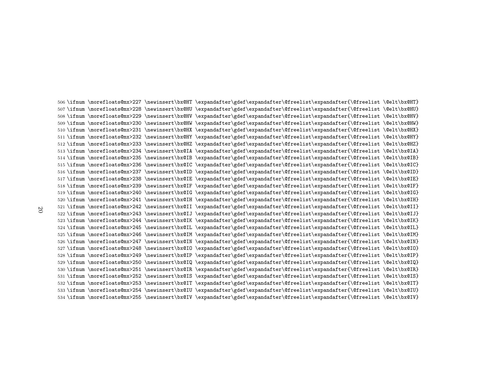\ifnum \morefloats@mx>227 \newinsert\bx@HT \expandafter\gdef\expandafter\@freelist\expandafter{\@freelist \@elt\bx@HT} \ifnum \morefloats@mx>228 \newinsert\bx@HU \expandafter\gdef\expandafter\@freelist\expandafter{\@freelist \@elt\bx@HU} \ifnum \morefloats@mx>229 \newinsert\bx@HV \expandafter\gdef\expandafter\@freelist\expandafter{\@freelist \@elt\bx@HV} \ifnum \morefloats@mx>230 \newinsert\bx@HW \expandafter\gdef\expandafter\@freelist\expandafter{\@freelist \@elt\bx@HW} \ifnum \morefloats@mx>231 \newinsert\bx@HX \expandafter\gdef\expandafter\@freelist\expandafter{\@freelist \@elt\bx@HX} \ifnum \morefloats@mx>232 \newinsert\bx@HY \expandafter\gdef\expandafter\@freelist\expandafter{\@freelist \@elt\bx@HY} \ifnum \morefloats@mx>233 \newinsert\bx@HZ \expandafter\gdef\expandafter\@freelist\expandafter{\@freelist \@elt\bx@HZ} \ifnum \morefloats@mx>234 \newinsert\bx@IA \expandafter\gdef\expandafter\@freelist\expandafter{\@freelist \@elt\bx@IA} \ifnum \morefloats@mx>235 \newinsert\bx@IB \expandafter\gdef\expandafter\@freelist\expandafter{\@freelist \@elt\bx@IB} \ifnum \morefloats@mx>236 \newinsert\bx@IC \expandafter\gdef\expandafter\@freelist\expandafter{\@freelist \@elt\bx@IC} \ifnum \morefloats@mx>237 \newinsert\bx@ID \expandafter\gdef\expandafter\@freelist\expandafter{\@freelist \@elt\bx@ID} \ifnum \morefloats@mx>238 \newinsert\bx@IE \expandafter\gdef\expandafter\@freelist\expandafter{\@freelist \@elt\bx@IE} \ifnum \morefloats@mx>239 \newinsert\bx@IF \expandafter\gdef\expandafter\@freelist\expandafter{\@freelist \@elt\bx@IF} \ifnum \morefloats@mx>240 \newinsert\bx@IG \expandafter\gdef\expandafter\@freelist\expandafter{\@freelist \@elt\bx@IG} \ifnum \morefloats@mx>241 \newinsert\bx@IH \expandafter\gdef\expandafter\@freelist\expandafter{\@freelist \@elt\bx@IH} \ifnum \morefloats@mx>242 \newinsert\bx@II \expandafter\gdef\expandafter\@freelist\expandafter{\@freelist \@elt\bx@II} \ifnum \morefloats@mx>243 \newinsert\bx@IJ \expandafter\gdef\expandafter\@freelist\expandafter{\@freelist \@elt\bx@IJ} \ifnum \morefloats@mx>244 \newinsert\bx@IK \expandafter\gdef\expandafter\@freelist\expandafter{\@freelist \@elt\bx@IK} \ifnum \morefloats@mx>245 \newinsert\bx@IL \expandafter\gdef\expandafter\@freelist\expandafter{\@freelist \@elt\bx@IL} \ifnum \morefloats@mx>246 \newinsert\bx@IM \expandafter\gdef\expandafter\@freelist\expandafter{\@freelist \@elt\bx@IM} \ifnum \morefloats@mx>247 \newinsert\bx@IN \expandafter\gdef\expandafter\@freelist\expandafter{\@freelist \@elt\bx@IN} \ifnum \morefloats@mx>248 \newinsert\bx@IO \expandafter\gdef\expandafter\@freelist\expandafter{\@freelist \@elt\bx@IO} \ifnum \morefloats@mx>249 \newinsert\bx@IP \expandafter\gdef\expandafter\@freelist\expandafter{\@freelist \@elt\bx@IP} \ifnum \morefloats@mx>250 \newinsert\bx@IQ \expandafter\gdef\expandafter\@freelist\expandafter{\@freelist \@elt\bx@IQ} \ifnum \morefloats@mx>251 \newinsert\bx@IR \expandafter\gdef\expandafter\@freelist\expandafter{\@freelist \@elt\bx@IR} \ifnum \morefloats@mx>252 \newinsert\bx@IS \expandafter\gdef\expandafter\@freelist\expandafter{\@freelist \@elt\bx@IS} \ifnum \morefloats@mx>253 \newinsert\bx@IT \expandafter\gdef\expandafter\@freelist\expandafter{\@freelist \@elt\bx@IT} \ifnum \morefloats@mx>254 \newinsert\bx@IU \expandafter\gdef\expandafter\@freelist\expandafter{\@freelist \@elt\bx@IU}\ifnum \morefloats@mx>255 \newinsert\bx@IV \expandafter\gdef\expandafter\@freelist\expandafter{\@freelist \@elt\bx@IV}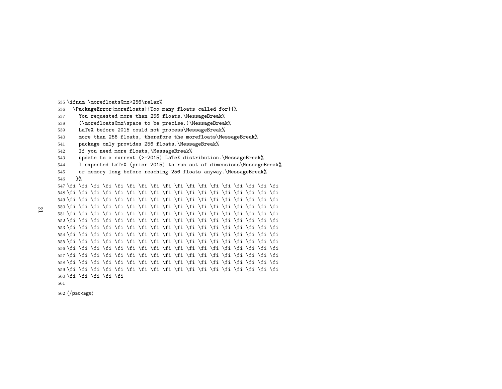<span id="page-20-0"></span>\ifnum \morefloats@mx>256\relax%

- $\,6\quad \backslash$ PackageError $\{$ morefloats} $\{$ Too many floats called for} $\{$ %
- You requested more than 256 floats.\MessageBreak%
- (\morefloats@mx\space to be precise.)\MessageBreak%
- LaTeX before <sup>2015</sup> could not process\MessageBreak%
- more than <sup>256</sup> floats, therefore the morefloats\MessageBreak%
- package only provides <sup>256</sup> floats.\MessageBreak%
- If you need more floats,\MessageBreak%
- update to <sup>a</sup> current (>=2015) LaTeX distribution.\MessageBreak%
- <sup>I</sup> expected LaTeX (prior 2015) to run out of dimensions\MessageBreak%
- or memory long before reaching <sup>256</sup> floats anyway.\MessageBreak%}%
- \fi \fi \fi \fi \fi \fi \fi \fi \fi \fi \fi \fi \fi \fi \fi \fi \fi \fi \fi \fi \fi \fi \fi \fi \fi \fi \fi \fi \fi \fi \fi \fi \fi \fi \fi \fi \fi \fi \fi \fi \fi \fi \fi \fi \fi \fi \fi \fi \fi \fi \fi \fi \fi \fi \fi \fi \fi \fi \fi \fi \fi \fi \fi \fi \fi \fi \fi \fi \fi \fi \fi \fi \fi \fi \fi \fi \fi \fi \fi \fi \fi \fi \fi \fi \fi \fi \fi \fi \fi \fi \fi \fi \fi \fi \fi \fi \fi \fi \fi \fi \fi \fi \fi \fi \fi \fi \fi \fi \fi \fi \fi \fi \fi \fi \fi \fi \fi \fi \fi \fi \fi \fi \fi \fi \fi \fi \fi \fi \fi \fi \fi \fi \fi \fi \fi \fi \fi \fi \fi \fi \fi \fi \fi \fi \fi \fi \fi \fi \fi \fi \fi \fi \fi \fi \fi \fi \fi \fi \fi \fi \fi \fi \fi \fi \fi \fi \fi \fi \fi \fi \fi \fi \fi \fi \fi \fi \fi \fi \fi \fi \fi \fi \fi \fi \fi \fi \fi \fi \fi \fi \fi \fi \fi \fi \fi \fi \fi \fi \fi \fi \fi \fi \fi \fi \fi \fi \fi \fi \fi \fi \fi \fi \fi \fi \fi \fi \fi \fi \fi \fi \fi \fi \fi \fi \fi \fi \fi \fi \fi \fi \fi \fi \fi \fi560 \fi \fi \fi \fi \fi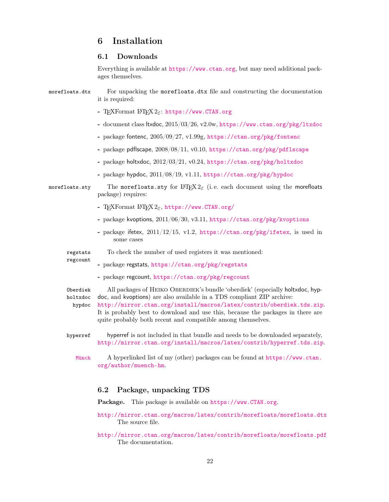# <span id="page-21-0"></span>6 Installation

# <span id="page-21-1"></span>6.1 Downloads

<span id="page-21-7"></span><span id="page-21-3"></span>Everything is available at <https://www.ctan.org>, but may need additional packages themselves.

<span id="page-21-8"></span>

| morefloats.dtx                 | For unpacking the morefloats.dtx file and constructing the documentation<br>it is required:                                                                                                                                                                                                                                                                                        |
|--------------------------------|------------------------------------------------------------------------------------------------------------------------------------------------------------------------------------------------------------------------------------------------------------------------------------------------------------------------------------------------------------------------------------|
|                                | - TEXFormat IATEX $2\varepsilon$ : https://www.CTAN.org                                                                                                                                                                                                                                                                                                                            |
|                                | - document class ltxdoc, 2015/03/26, v2.0w, https://www.ctan.org/pkg/1txdoc                                                                                                                                                                                                                                                                                                        |
|                                | - package fontenc, 2005/09/27, v1.99g, https://ctan.org/pkg/fontenc                                                                                                                                                                                                                                                                                                                |
|                                | - package pdflscape, 2008/08/11, v0.10, https://ctan.org/pkg/pdflscape                                                                                                                                                                                                                                                                                                             |
|                                | - package holtxdoc, 2012/03/21, v0.24, https://ctan.org/pkg/holtxdoc                                                                                                                                                                                                                                                                                                               |
|                                | - package hypdoc, 2011/08/19, v1.11, https://ctan.org/pkg/hypdoc                                                                                                                                                                                                                                                                                                                   |
| morefloats.sty                 | The morefloats sty for $L^2E$ (i.e. each document using the morefloats<br>package) requires:                                                                                                                                                                                                                                                                                       |
|                                | - TEXFormat IATEX $2\varepsilon$ , https://www.CTAN.org/                                                                                                                                                                                                                                                                                                                           |
|                                | - package kvoptions, 2011/06/30, v3.11, https://ctan.org/pkg/kvoptions                                                                                                                                                                                                                                                                                                             |
|                                | - package if etex, $2011/12/15$ , v1.2, https://ctan.org/pkg/ifetex, is used in<br>some cases                                                                                                                                                                                                                                                                                      |
| regstats                       | To check the number of used registers it was mentioned:                                                                                                                                                                                                                                                                                                                            |
| regcount                       | - package regstats, https://ctan.org/pkg/regstats                                                                                                                                                                                                                                                                                                                                  |
|                                | - package regcount, https://ctan.org/pkg/regcount                                                                                                                                                                                                                                                                                                                                  |
| Oberdiek<br>holtxdoc<br>hypdoc | All packages of HEIKO OBERDIEK's bundle 'oberdiek' (especially holtxdoc, hyp-<br>doc, and kvoptions) are also available in a TDS compliant ZIP archive:<br>http://mirror.ctan.org/install/macros/latex/contrib/oberdiek.tds.zip.<br>It is probably best to download and use this, because the packages in there are<br>quite probably both recent and compatible among themselves. |
| hyperref                       | hyperref is not included in that bundle and needs to be downloaded separately,<br>http://mirror.ctan.org/install/macros/latex/contrib/hyperref.tds.zip.                                                                                                                                                                                                                            |
| Münch                          | A hyperlinked list of my (other) packages can be found at https://www.ctan.<br>org/author/muench-hm.                                                                                                                                                                                                                                                                               |

# <span id="page-21-9"></span><span id="page-21-6"></span><span id="page-21-5"></span><span id="page-21-4"></span><span id="page-21-2"></span>6.2 Package, unpacking TDS

Package. This package is available on <https://www.CTAN.org>.

- <http://mirror.ctan.org/macros/latex/contrib/morefloats/morefloats.dtx> The source file.
- <http://mirror.ctan.org/macros/latex/contrib/morefloats/morefloats.pdf> The documentation.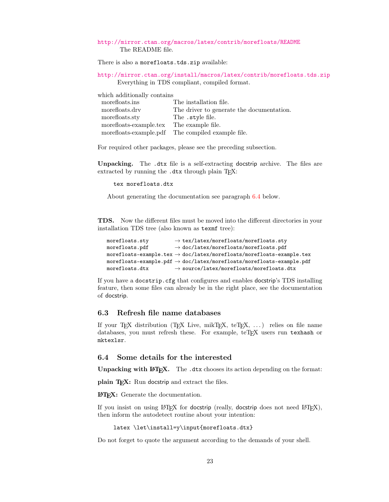#### <http://mirror.ctan.org/macros/latex/contrib/morefloats/README> The README file.

There is also a morefloats.tds.zip available:

<http://mirror.ctan.org/install/macros/latex/contrib/morefloats.tds.zip> Everything in TDS compliant, compiled format.

which additionally contains morefloats.ins The installation file. morefloats.drv The driver to generate the documentation. morefloats.sty The .style file. morefloats-example.tex The example file. morefloats-example.pdf The compiled example file.

For required other packages, please see the preceding subsection.

Unpacking. The .dtx file is a self-extracting docstrip archive. The files are extracted by running the .dtx through plain T<sub>E</sub>X:

tex morefloats.dtx

About generating the documentation see paragraph [6.4](#page-23-2) below.

TDS. Now the different files must be moved into the different directories in your installation TDS tree (also known as texmf tree):

```
morefloats.sty \rightarrow tex/latex/morefloats/morefloats.sty
morefloats.pdf \rightarrow doc/latex/morefloats/morefloats.pdf
{\tt morefloats-example.tex} \rightarrow {\tt doc/lates/morefloats/morefloats-example.tex}\verb|morefloats-example.pdf| \rightarrow \verb|doc/lates/morefloats/morefloats-example.pdf|\small \texttt{morefloats.dtx} \\\\ \small \rightarrow \small \texttt{source/latex/morefloats/morefloats.dtx}
```
If you have a docstrip.cfg that configures and enables docstrip's TDS installing feature, then some files can already be in the right place, see the documentation of docstrip.

#### <span id="page-22-0"></span>6.3 Refresh file name databases

If your TEX distribution (TEX Live, mikTEX,  $teTFX, \ldots$ ) relies on file name databases, you must refresh these. For example, teT<sub>EX</sub> users run texhash or mktexlsr.

### <span id="page-22-1"></span>6.4 Some details for the interested

**Unpacking with LATEX.** The  $\cdot$ **dtx** chooses its action depending on the format:

plain T<sub>E</sub>X: Run docstrip and extract the files.

LATEX: Generate the documentation.

If you insist on using  $L^2T_FX$  for docstrip (really, docstrip does not need  $L^2T_FX$ ), then inform the autodetect routine about your intention:

latex \let\install=y\input{morefloats.dtx}

Do not forget to quote the argument according to the demands of your shell.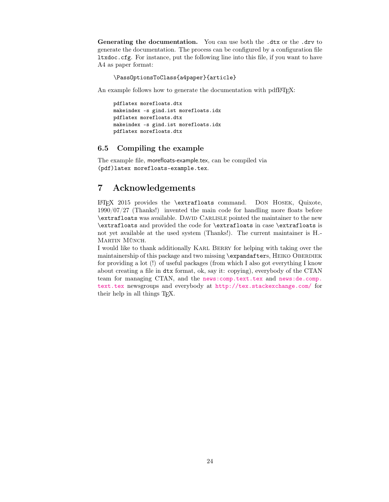<span id="page-23-2"></span>Generating the documentation. You can use both the .dtx or the .drv to generate the documentation. The process can be configured by a configuration file ltxdoc.cfg. For instance, put the following line into this file, if you want to have A4 as paper format:

\PassOptionsToClass{a4paper}{article}

An example follows how to generate the documentation with pdfIAT<sub>E</sub>X:

```
pdflatex morefloats.dtx
makeindex -s gind.ist morefloats.idx
pdflatex morefloats.dtx
makeindex -s gind.ist morefloats.idx
pdflatex morefloats.dtx
```
#### <span id="page-23-0"></span>6.5 Compiling the example

The example file, morefloats-example.tex, can be compiled via (pdf)latex morefloats-example.tex.

# <span id="page-23-1"></span>7 Acknowledgements

<sup>L</sup>ATEX 2015 provides the \extrafloats command. Don Hosek, Quixote, 1990/07/27 (Thanks!) invented the main code for handling more floats before \extrafloats was available. David Carlisle pointed the maintainer to the new \extrafloats and provided the code for \extrafloats in case \extrafloats is not yet available at the used system (Thanks!). The current maintainer is H.- MARTIN MÜNCH.

I would like to thank additionally KARL BERRY for helping with taking over the maintainership of this package and two missing \expandafters, HEIKO OBERDIEK for providing a lot (!) of useful packages (from which I also got everything I know about creating a file in dtx format, ok, say it: copying), everybody of the CTAN team for managing CTAN, and the [news:comp.text.tex](http://groups.google.com/group/comp.text.tex/topics) and [news:de.comp.](http://groups.google.com/group/de.comp.text.tex/topics) [text.tex](http://groups.google.com/group/de.comp.text.tex/topics) newsgroups and everybody at <http://tex.stackexchange.com/> for their help in all things TEX.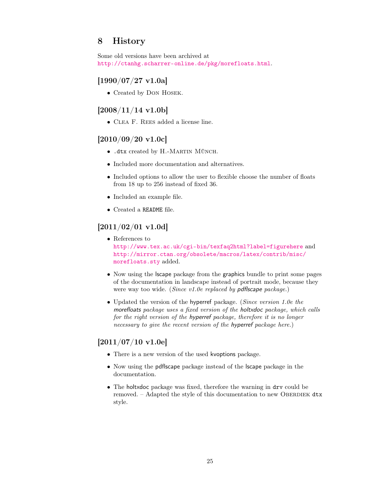# <span id="page-24-0"></span>8 History

Some old versions have been archived at <http://ctanhg.scharrer-online.de/pkg/morefloats.html>.

# <span id="page-24-1"></span>[1990/07/27 v1.0a]

• Created by Don Hosek.

### <span id="page-24-2"></span> $[2008/11/14 \text{ v}1.06]$

• Clea F. Rees added a license line.

# <span id="page-24-3"></span>[2010/09/20 v1.0c]

- .dtx created by H.-Martin Münch.
- Included more documentation and alternatives.
- Included options to allow the user to flexible choose the number of floats from 18 up to 256 instead of fixed 36.
- Included an example file.
- Created a README file.

### <span id="page-24-4"></span>[2011/02/01 v1.0d]

- References to <http://www.tex.ac.uk/cgi-bin/texfaq2html?label=figurehere> and [http://mirror.ctan.org/obsolete/macros/latex/contrib/misc/](http://mirror.ctan.org/obsolete/macros/latex/contrib/misc/morefloats.sty) [morefloats.sty](http://mirror.ctan.org/obsolete/macros/latex/contrib/misc/morefloats.sty) added.
- Now using the lscape package from the graphics bundle to print some pages of the documentation in landscape instead of portrait mode, because they were way too wide. (Since v1.0e replaced by pdflscape package.)
- Updated the version of the hyperref package. (Since version 1.0e the morefloats package uses a fixed version of the holtxdoc package, which calls for the right version of the hyperref package, therefore it is no longer necessary to give the recent version of the hyperref package here.)

# <span id="page-24-5"></span> $[2011/07/10 v1.0e]$

- There is a new version of the used kvoptions package.
- Now using the pdflscape package instead of the lscape package in the documentation.
- The holtxdoc package was fixed, therefore the warning in drv could be removed. – Adapted the style of this documentation to new OBERDIEK  $dtx$ style.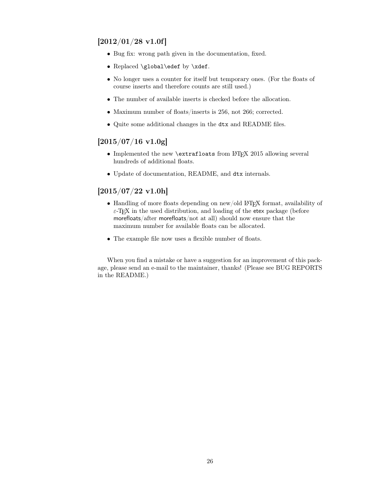# <span id="page-25-0"></span> $[2012/01/28 \text{ v}1.0f]$

- Bug fix: wrong path given in the documentation, fixed.
- Replaced \global\edef by \xdef.
- No longer uses a counter for itself but temporary ones. (For the floats of course inserts and therefore counts are still used.)
- The number of available inserts is checked before the allocation.
- Maximum number of floats/inserts is 256, not 266; corrected.
- Quite some additional changes in the dtx and README files.

### <span id="page-25-1"></span> $[2015/07/16 \text{ v}1.0 \text{g}]$

- Implemented the new \extrafloats from LAT<sub>E</sub>X 2015 allowing several hundreds of additional floats.
- Update of documentation, README, and dtx internals.

# <span id="page-25-2"></span> $[2015/07/22 \text{ v}1.0h]$

- Handling of more floats depending on new/old LAT<sub>EX</sub> format, availability of  $\varepsilon$ -T<sub>E</sub>X in the used distribution, and loading of the etex package (before morefloats/after morefloats/not at all) should now ensure that the maximum number for available floats can be allocated.
- The example file now uses a flexible number of floats.

When you find a mistake or have a suggestion for an improvement of this package, please send an e-mail to the maintainer, thanks! (Please see BUG REPORTS in the README.)